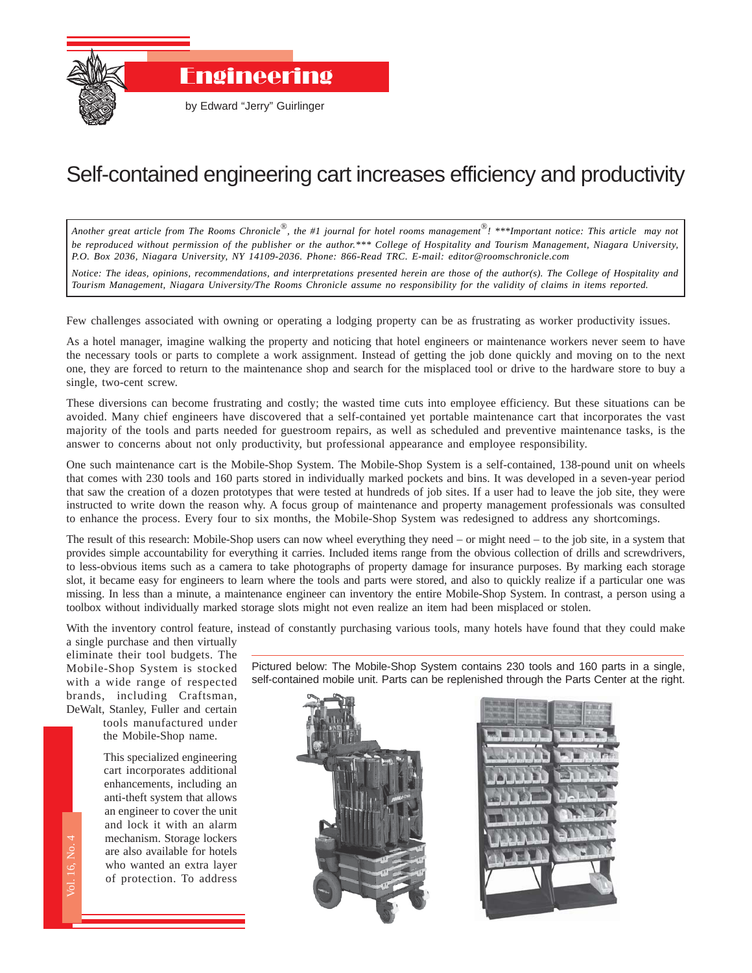

## Self-contained engineering cart increases efficiency and productivity

*Another great article from The Rooms Chronicle*®*, the #1 journal for hotel rooms management*®*! \*\*\*Important notice: This article may not be reproduced without permission of the publisher or the author.\*\*\* College of Hospitality and Tourism Management, Niagara University, P.O. Box 2036, Niagara University, NY 14109-2036. Phone: 866-Read TRC. E-mail: editor@roomschronicle.com*

*Notice: The ideas, opinions, recommendations, and interpretations presented herein are those of the author(s). The College of Hospitality and Tourism Management, Niagara University/The Rooms Chronicle assume no responsibility for the validity of claims in items reported.*

Few challenges associated with owning or operating a lodging property can be as frustrating as worker productivity issues.

As a hotel manager, imagine walking the property and noticing that hotel engineers or maintenance workers never seem to have the necessary tools or parts to complete a work assignment. Instead of getting the job done quickly and moving on to the next one, they are forced to return to the maintenance shop and search for the misplaced tool or drive to the hardware store to buy a single, two-cent screw.

These diversions can become frustrating and costly; the wasted time cuts into employee efficiency. But these situations can be avoided. Many chief engineers have discovered that a self-contained yet portable maintenance cart that incorporates the vast majority of the tools and parts needed for guestroom repairs, as well as scheduled and preventive maintenance tasks, is the answer to concerns about not only productivity, but professional appearance and employee responsibility.

One such maintenance cart is the Mobile-Shop System. The Mobile-Shop System is a self-contained, 138-pound unit on wheels that comes with 230 tools and 160 parts stored in individually marked pockets and bins. It was developed in a seven-year period that saw the creation of a dozen prototypes that were tested at hundreds of job sites. If a user had to leave the job site, they were instructed to write down the reason why. A focus group of maintenance and property management professionals was consulted to enhance the process. Every four to six months, the Mobile-Shop System was redesigned to address any shortcomings.

The result of this research: Mobile-Shop users can now wheel everything they need – or might need – to the job site, in a system that provides simple accountability for everything it carries. Included items range from the obvious collection of drills and screwdrivers, to less-obvious items such as a camera to take photographs of property damage for insurance purposes. By marking each storage slot, it became easy for engineers to learn where the tools and parts were stored, and also to quickly realize if a particular one was missing. In less than a minute, a maintenance engineer can inventory the entire Mobile-Shop System. In contrast, a person using a toolbox without individually marked storage slots might not even realize an item had been misplaced or stolen.

With the inventory control feature, instead of constantly purchasing various tools, many hotels have found that they could make a single purchase and then virtually

eliminate their tool budgets. The Mobile-Shop System is stocked with a wide range of respected brands, including Craftsman, DeWalt, Stanley, Fuller and certain

tools manufactured under the Mobile-Shop name.

nts<br>thatine<br>and the Chronicle<br>The Rooms Chronicle Chronicle Shape Chronicle Chronicle Shape Chronicle Shape Chronicle Shape Chronicle Shape C This specialized engineering cart incorporates additional enhancements, including an anti-theft system that allows an engineer to cover the unit and lock it with an alarm mechanism. Storage lockers are also available for hotels who wanted an extra layer of protection. To address

Pictured below: The Mobile-Shop System contains 230 tools and 160 parts in a single, self-contained mobile unit. Parts can be replenished through the Parts Center at the right.